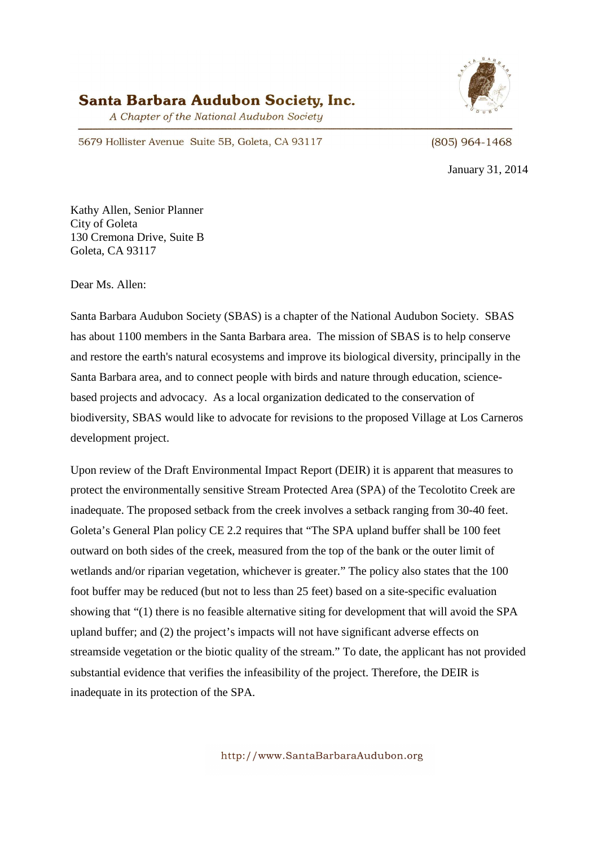# Santa Barbara Audubon Society, Inc.

A Chapter of the National Audubon Society



5679 Hollister Avenue Suite 5B, Goleta, CA 93117

 $(805)$  964-1468

January 31, 2014

Kathy Allen, Senior Planner City of Goleta 130 Cremona Drive, Suite B Goleta, CA 93117

Dear Ms. Allen:

Santa Barbara Audubon Society (SBAS) is a chapter of the National Audubon Society. SBAS has about 1100 members in the Santa Barbara area. The mission of SBAS is to help conserve and restore the earth's natural ecosystems and improve its biological diversity, principally in the Santa Barbara area, and to connect people with birds and nature through education, sciencebased projects and advocacy. As a local organization dedicated to the conservation of biodiversity, SBAS would like to advocate for revisions to the proposed Village at Los Carneros development project.

Upon review of the Draft Environmental Impact Report (DEIR) it is apparent that measures to protect the environmentally sensitive Stream Protected Area (SPA) of the Tecolotito Creek are inadequate. The proposed setback from the creek involves a setback ranging from 30-40 feet. Goleta's General Plan policy CE 2.2 requires that "The SPA upland buffer shall be 100 feet outward on both sides of the creek, measured from the top of the bank or the outer limit of wetlands and/or riparian vegetation, whichever is greater." The policy also states that the 100 foot buffer may be reduced (but not to less than 25 feet) based on a site-specific evaluation showing that "(1) there is no feasible alternative siting for development that will avoid the SPA upland buffer; and (2) the project's impacts will not have significant adverse effects on streamside vegetation or the biotic quality of the stream." To date, the applicant has not provided substantial evidence that verifies the infeasibility of the project. Therefore, the DEIR is inadequate in its protection of the SPA.

http://www.SantaBarbaraAudubon.org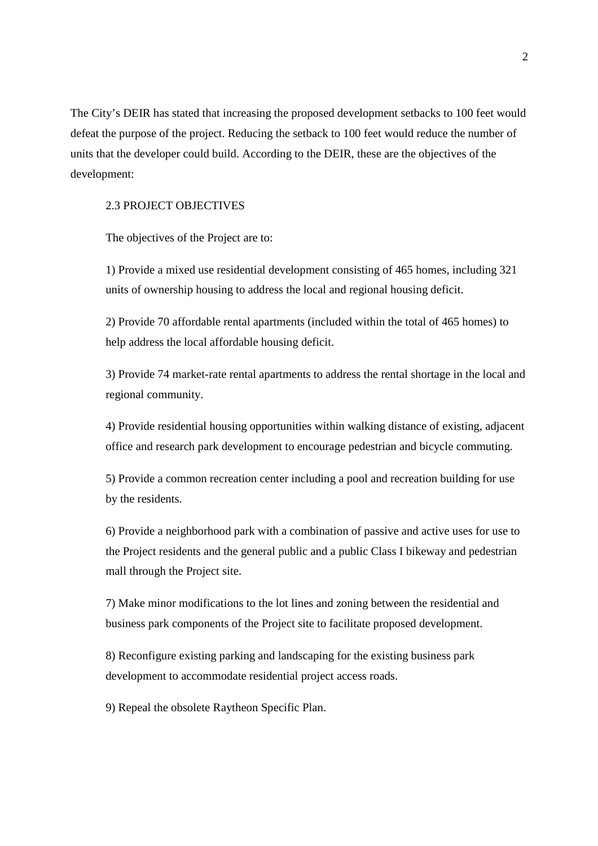The City's DEIR has stated that increasing the proposed development setbacks to 100 feet would defeat the purpose of the project. Reducing the setback to 100 feet would reduce the number of units that the developer could build. According to the DEIR, these are the objectives of the development:

## 2.3 PROJECT OBJECTIVES

The objectives of the Project are to:

1) Provide a mixed use residential development consisting of 465 homes, including 321 units of ownership housing to address the local and regional housing deficit.

2) Provide 70 affordable rental apartments (included within the total of 465 homes) to help address the local affordable housing deficit.

3) Provide 74 market-rate rental apartments to address the rental shortage in the local and regional community.

4) Provide residential housing opportunities within walking distance of existing, adjacent office and research park development to encourage pedestrian and bicycle commuting.

5) Provide a common recreation center including a pool and recreation building for use by the residents.

6) Provide a neighborhood park with a combination of passive and active uses for use to the Project residents and the general public and a public Class I bikeway and pedestrian mall through the Project site.

7) Make minor modifications to the lot lines and zoning between the residential and business park components of the Project site to facilitate proposed development.

8) Reconfigure existing parking and landscaping for the existing business park development to accommodate residential project access roads.

9) Repeal the obsolete Raytheon Specific Plan.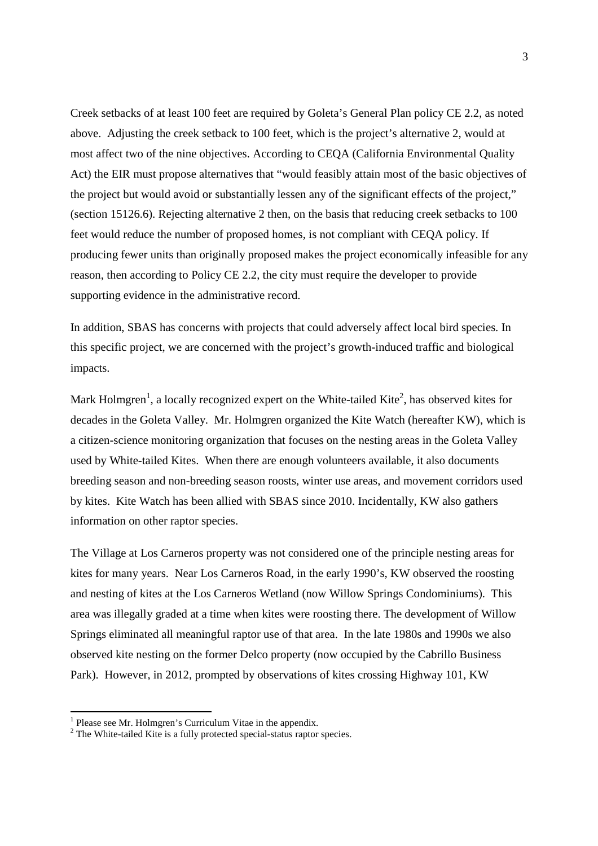Creek setbacks of at least 100 feet are required by Goleta's General Plan policy CE 2.2, as noted above. Adjusting the creek setback to 100 feet, which is the project's alternative 2, would at most affect two of the nine objectives. According to CEQA (California Environmental Quality Act) the EIR must propose alternatives that "would feasibly attain most of the basic objectives of the project but would avoid or substantially lessen any of the significant effects of the project," (section 15126.6). Rejecting alternative 2 then, on the basis that reducing creek setbacks to 100 feet would reduce the number of proposed homes, is not compliant with CEQA policy. If producing fewer units than originally proposed makes the project economically infeasible for any reason, then according to Policy CE 2.2, the city must require the developer to provide supporting evidence in the administrative record.

In addition, SBAS has concerns with projects that could adversely affect local bird species. In this specific project, we are concerned with the project's growth-induced traffic and biological impacts.

Mark Holmgren<sup>1</sup>, a locally recognized expert on the White-tailed Kite<sup>2</sup>, has observed kites for decades in the Goleta Valley. Mr. Holmgren organized the Kite Watch (hereafter KW), which is a citizen-science monitoring organization that focuses on the nesting areas in the Goleta Valley used by White-tailed Kites. When there are enough volunteers available, it also documents breeding season and non-breeding season roosts, winter use areas, and movement corridors used by kites. Kite Watch has been allied with SBAS since 2010. Incidentally, KW also gathers information on other raptor species.

The Village at Los Carneros property was not considered one of the principle nesting areas for kites for many years. Near Los Carneros Road, in the early 1990's, KW observed the roosting and nesting of kites at the Los Carneros Wetland (now Willow Springs Condominiums). This area was illegally graded at a time when kites were roosting there. The development of Willow Springs eliminated all meaningful raptor use of that area. In the late 1980s and 1990s we also observed kite nesting on the former Delco property (now occupied by the Cabrillo Business Park). However, in 2012, prompted by observations of kites crossing Highway 101, KW

<sup>&</sup>lt;sup>1</sup> Please see Mr. Holmgren's Curriculum Vitae in the appendix.

 $2$  The White-tailed Kite is a fully protected special-status raptor species.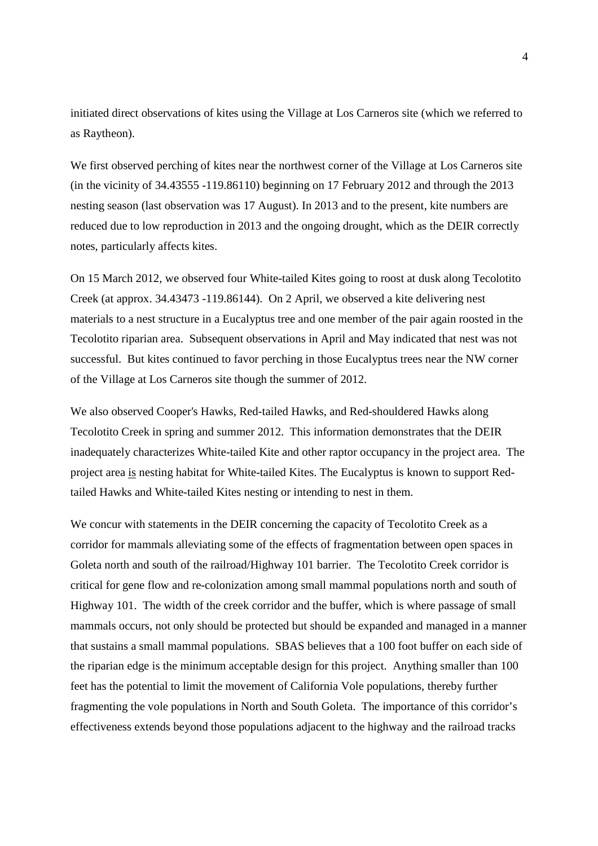initiated direct observations of kites using the Village at Los Carneros site (which we referred to as Raytheon).

We first observed perching of kites near the northwest corner of the Village at Los Carneros site (in the vicinity of 34.43555 -119.86110) beginning on 17 February 2012 and through the 2013 nesting season (last observation was 17 August). In 2013 and to the present, kite numbers are reduced due to low reproduction in 2013 and the ongoing drought, which as the DEIR correctly notes, particularly affects kites.

On 15 March 2012, we observed four White-tailed Kites going to roost at dusk along Tecolotito Creek (at approx. 34.43473 -119.86144). On 2 April, we observed a kite delivering nest materials to a nest structure in a Eucalyptus tree and one member of the pair again roosted in the Tecolotito riparian area. Subsequent observations in April and May indicated that nest was not successful. But kites continued to favor perching in those Eucalyptus trees near the NW corner of the Village at Los Carneros site though the summer of 2012.

We also observed Cooper's Hawks, Red-tailed Hawks, and Red-shouldered Hawks along Tecolotito Creek in spring and summer 2012. This information demonstrates that the DEIR inadequately characterizes White-tailed Kite and other raptor occupancy in the project area. The project area is nesting habitat for White-tailed Kites. The Eucalyptus is known to support Redtailed Hawks and White-tailed Kites nesting or intending to nest in them.

We concur with statements in the DEIR concerning the capacity of Tecolotito Creek as a corridor for mammals alleviating some of the effects of fragmentation between open spaces in Goleta north and south of the railroad/Highway 101 barrier. The Tecolotito Creek corridor is critical for gene flow and re-colonization among small mammal populations north and south of Highway 101. The width of the creek corridor and the buffer, which is where passage of small mammals occurs, not only should be protected but should be expanded and managed in a manner that sustains a small mammal populations. SBAS believes that a 100 foot buffer on each side of the riparian edge is the minimum acceptable design for this project. Anything smaller than 100 feet has the potential to limit the movement of California Vole populations, thereby further fragmenting the vole populations in North and South Goleta. The importance of this corridor's effectiveness extends beyond those populations adjacent to the highway and the railroad tracks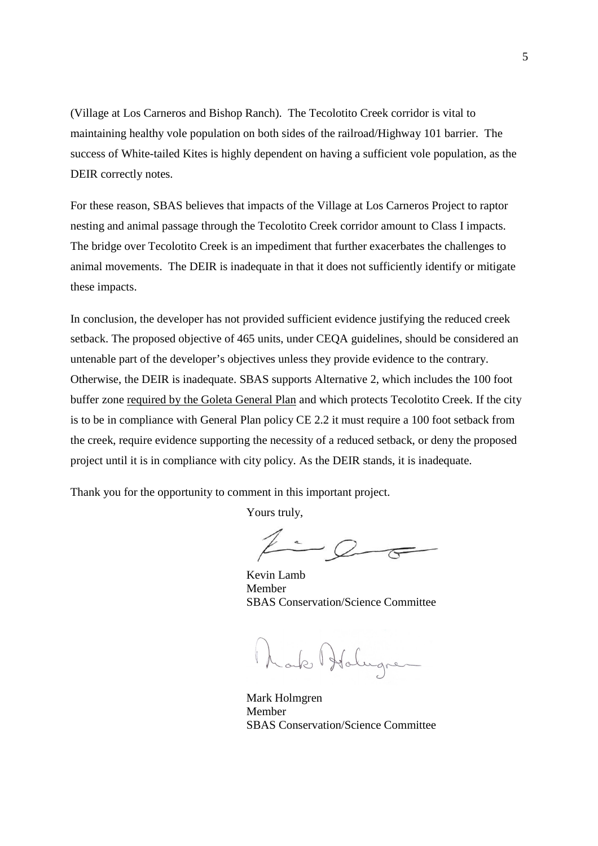(Village at Los Carneros and Bishop Ranch). The Tecolotito Creek corridor is vital to maintaining healthy vole population on both sides of the railroad/Highway 101 barrier. The success of White-tailed Kites is highly dependent on having a sufficient vole population, as the DEIR correctly notes.

For these reason, SBAS believes that impacts of the Village at Los Carneros Project to raptor nesting and animal passage through the Tecolotito Creek corridor amount to Class I impacts. The bridge over Tecolotito Creek is an impediment that further exacerbates the challenges to animal movements. The DEIR is inadequate in that it does not sufficiently identify or mitigate these impacts.

In conclusion, the developer has not provided sufficient evidence justifying the reduced creek setback. The proposed objective of 465 units, under CEQA guidelines, should be considered an untenable part of the developer's objectives unless they provide evidence to the contrary. Otherwise, the DEIR is inadequate. SBAS supports Alternative 2, which includes the 100 foot buffer zone required by the Goleta General Plan and which protects Tecolotito Creek. If the city is to be in compliance with General Plan policy CE 2.2 it must require a 100 foot setback from the creek, require evidence supporting the necessity of a reduced setback, or deny the proposed project until it is in compliance with city policy. As the DEIR stands, it is inadequate.

Thank you for the opportunity to comment in this important project.

Yours truly,

 $2 - 2 - 7$ 

Kevin Lamb Member SBAS Conservation/Science Committee

Date Holugner

Mark Holmgren Member SBAS Conservation/Science Committee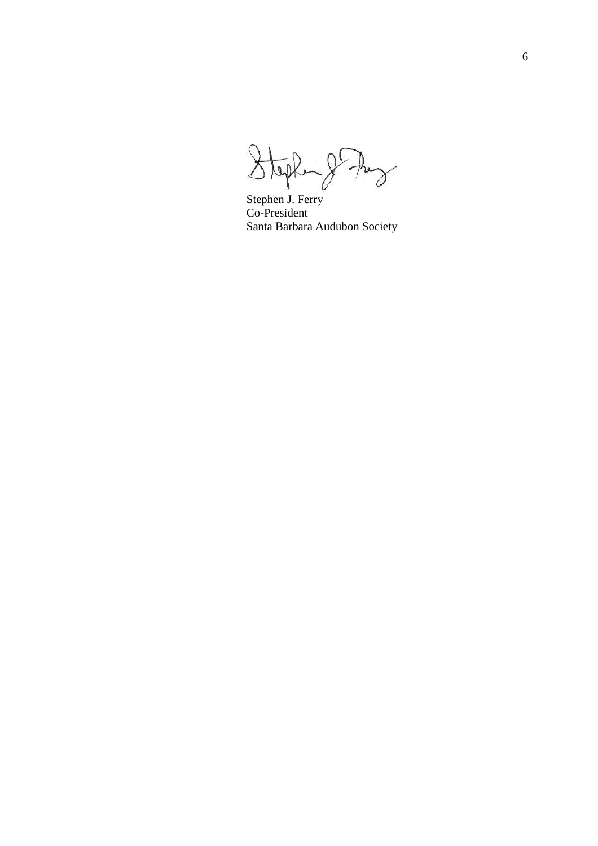Stephen gr the

Stephen J. Ferry Co-President Santa Barbara Audubon Society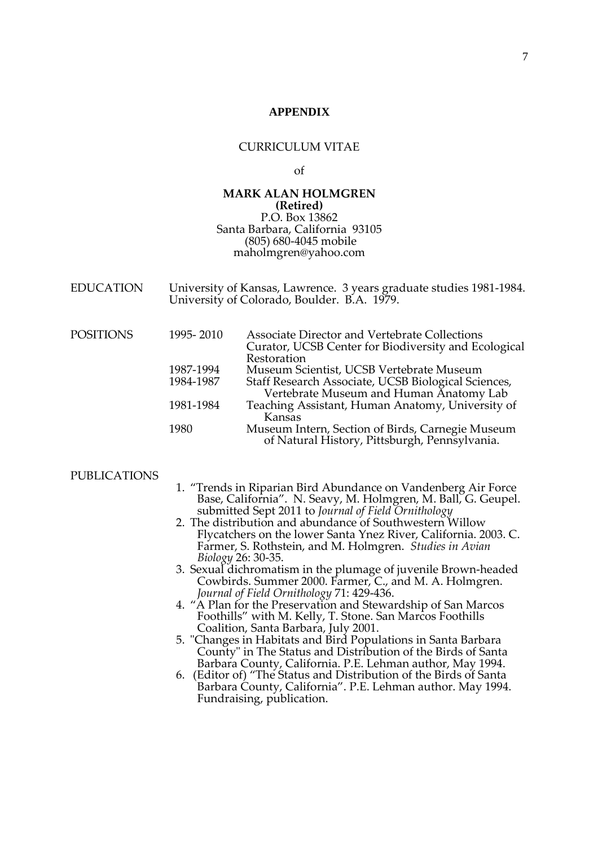### **APPENDIX**

### CURRICULUM VITAE

### of

### **MARK ALAN HOLMGREN (Retired)**  P.O. Box 13862 Santa Barbara, California 93105 (805) 680-4045 mobile maholmgren@yahoo.com

| <b>EDUCATION</b> | University of Kansas, Lawrence. 3 years graduate studies 1981-1984. |
|------------------|---------------------------------------------------------------------|
|                  | University of Colorado, Boulder. B.A. 1979.                         |

| <b>POSITIONS</b> | 1995-2010 | <b>Associate Director and Vertebrate Collections</b>                                              |
|------------------|-----------|---------------------------------------------------------------------------------------------------|
|                  |           | Curator, UCSB Center for Biodiversity and Ecological                                              |
|                  |           | Restoration                                                                                       |
|                  | 1987-1994 | Museum Scientist, UCSB Vertebrate Museum                                                          |
|                  | 1984-1987 | Staff Research Associate, UCSB Biological Sciences,                                               |
|                  |           | Vertebrate Museum and Human Anatomy Lab                                                           |
|                  | 1981-1984 | Teaching Assistant, Human Anatomy, University of<br>Kansas                                        |
|                  | 1980      | Museum Intern, Section of Birds, Carnegie Museum<br>of Natural History, Pittsburgh, Pennsylvania. |

#### PUBLICATIONS

- 1. "Trends in Riparian Bird Abundance on Vandenberg Air Force Base, California". N. Seavy, M. Holmgren, M. Ball, G. Geupel. submitted Sept 2011 to *Journal of Field Ornithology*
- 2. The distribution and abundance of Southwestern Willow Flycatchers on the lower Santa Ynez River, California. 2003. C. Farmer, S. Rothstein, and M. Holmgren. *Studies in Avian Biology* 26: 30-35.
- 3. Sexual dichromatism in the plumage of juvenile Brown-headed Cowbirds. Summer 2000. Farmer, C., and M. A. Holmgren. *Journal of Field Ornithology* 71: 429-436.
- 1. "A Plan for the Preservation and Stewardship of San Marcos Foothills" with M. Kelly, T. Stone. San Marcos Foothills Coalition, Santa Barbara, July 2001.
- 5. "Changes in Habitats and Bird Populations in Santa Barbara County" in The Status and Distribution of the Birds of Santa Barbara County, California. P.E. Lehman author, May 1994.
- 6. (Editor of) "The Status and Distribution of the Birds of Santa Barbara County, California". P.E. Lehman author. May 1994. Fundraising, publication.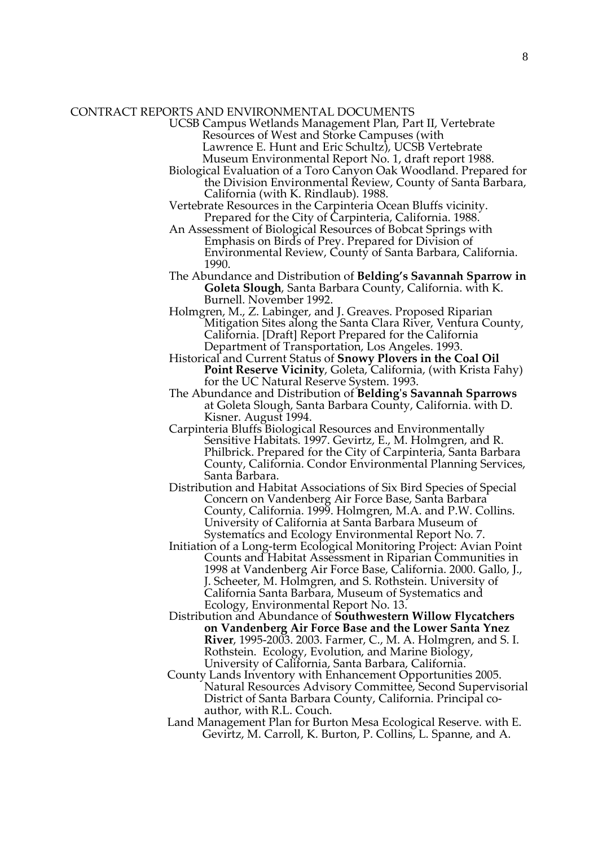### CONTRACT REPORTS AND ENVIRONMENTAL DOCUMENTS

 UCSB Campus Wetlands Management Plan, Part II, Vertebrate Resources of West and Storke Campuses (with

Lawrence E. Hunt and Eric Schultz), UCSB Vertebrate Museum Environmental Report No. 1, draft report 1988.

- Biological Evaluation of a Toro Canyon Oak Woodland. Prepared for the Division Environmental Review, County of Santa Barbara, California (with K. Rindlaub). 1988.
- Vertebrate Resources in the Carpinteria Ocean Bluffs vicinity. Prepared for the City of Carpinteria, California. 1988.
- An Assessment of Biological Resources of Bobcat Springs with Emphasis on Birds of Prey. Prepared for Division of Environmental Review, County of Santa Barbara, California. 1990.
- The Abundance and Distribution of **Belding's Savannah Sparrow in Goleta Slough**, Santa Barbara County, California. with K. Burnell. November 1992.
- Holmgren, M., Z. Labinger, and J. Greaves. Proposed Riparian Mitigation Sites along the Santa Clara River, Ventura County, California. [Draft] Report Prepared for the California Department of Transportation, Los Angeles. 1993.
- Historical and Current Status of **Snowy Plovers in the Coal Oil Point Reserve Vicinity**, Goleta, California, (with Krista Fahy) for the UC Natural Reserve System. 1993.
- The Abundance and Distribution of **Belding's Savannah Sparrows** at Goleta Slough, Santa Barbara County, California. with D. Kisner. August 1994.
- Carpinteria Bluffs Biological Resources and Environmentally Sensitive Habitats. 1997. Gevirtz, E., M. Holmgren, and R. Philbrick. Prepared for the City of Carpinteria, Santa Barbara County, California. Condor Environmental Planning Services, Santa Barbara.
- Distribution and Habitat Associations of Six Bird Species of Special Concern on Vandenberg Air Force Base, Santa Barbara County, California. 1999. Holmgren, M.A. and P.W. Collins. University of California at Santa Barbara Museum of Systematics and Ecology Environmental Report No. 7.
- Initiation of a Long-term Ecological Monitoring Project: Avian Point Counts and Habitat Assessment in Riparian Communities in 1998 at Vandenberg Air Force Base, California. 2000. Gallo, J., J. Scheeter, M. Holmgren, and S. Rothstein. University of California Santa Barbara, Museum of Systematics and Ecology, Environmental Report No. 13.
- Distribution and Abundance of **Southwestern Willow Flycatchers on Vandenberg Air Force Base and the Lower Santa Ynez River**, 1995-2003. 2003. Farmer, C., M. A. Holmgren, and S. I. Rothstein. Ecology, Evolution, and Marine Biology, University of California, Santa Barbara, California.
- County Lands Inventory with Enhancement Opportunities 2005. Natural Resources Advisory Committee, Second Supervisorial District of Santa Barbara County, California. Principal coauthor, with R.L. Couch.
- Land Management Plan for Burton Mesa Ecological Reserve. with E. Gevirtz, M. Carroll, K. Burton, P. Collins, L. Spanne, and A.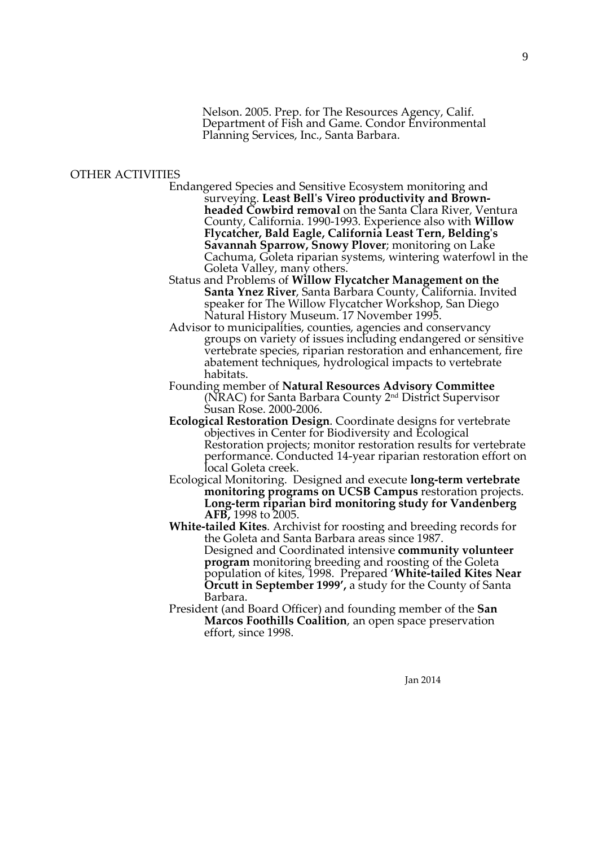Nelson. 2005. Prep. for The Resources Agency, Calif. Department of Fish and Game. Condor Environmental Planning Services, Inc., Santa Barbara.

### OTHER ACTIVITIES

- Endangered Species and Sensitive Ecosystem monitoring and surveying. **Least Bell's Vireo productivity and Brownheaded Cowbird removal** on the Santa Clara River, Ventura County, California. 1990-1993. Experience also with **Willow Flycatcher, Bald Eagle, California Least Tern, Belding's Savannah Sparrow, Snowy Plover**; monitoring on Lake Cachuma, Goleta riparian systems, wintering waterfowl in the Goleta Valley, many others.
- Status and Problems of **Willow Flycatcher Management on the Santa Ynez River**, Santa Barbara County, California. Invited speaker for The Willow Flycatcher Workshop, San Diego Natural History Museum. 17 November 1995.
- Advisor to municipalities, counties, agencies and conservancy groups on variety of issues including endangered or sensitive vertebrate species, riparian restoration and enhancement, fire abatement techniques, hydrological impacts to vertebrate habitats.
- Founding member of **Natural Resources Advisory Committee** (NRAC) for Santa Barbara County 2nd District Supervisor Susan Rose. 2000-2006.
- **Ecological Restoration Design**. Coordinate designs for vertebrate objectives in Center for Biodiversity and Ecological Restoration projects; monitor restoration results for vertebrate performance. Conducted 14-year riparian restoration effort on local Goleta creek.
- Ecological Monitoring. Designed and execute **long-term vertebrate monitoring programs on UCSB Campus** restoration projects. **Long-term riparian bird monitoring study for Vandenberg AFB,** 1998 to 2005.
- **White-tailed Kites**. Archivist for roosting and breeding records for the Goleta and Santa Barbara areas since 1987. Designed and Coordinated intensive **community volunteer program** monitoring breeding and roosting of the Goleta population of kites, 1998. Prepared '**White-tailed Kites Near Orcutt in September 1999',** a study for the County of Santa Barbara.
- President (and Board Officer) and founding member of the **San Marcos Foothills Coalition**, an open space preservation effort, since 1998.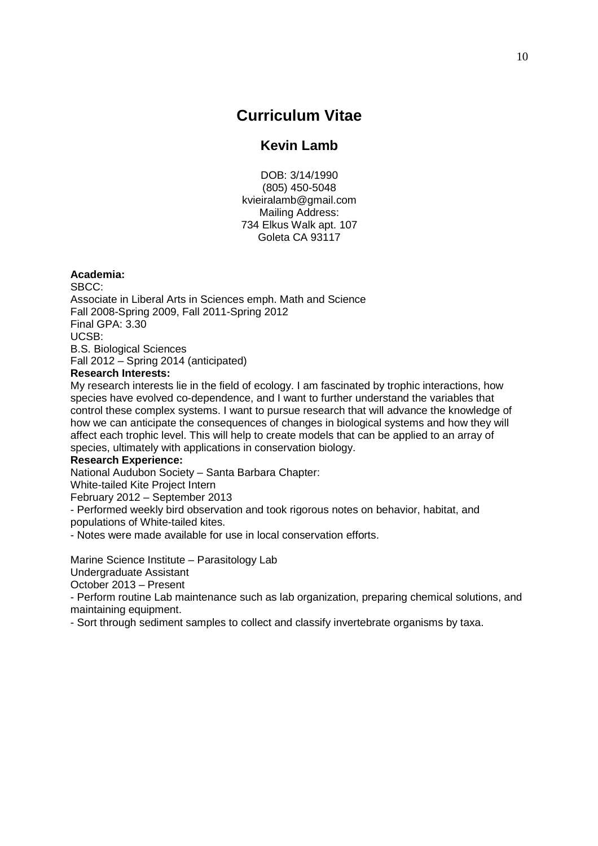# **Curriculum Vitae**

# **Kevin Lamb**

DOB: 3/14/1990 (805) 450-5048 kvieiralamb@gmail.com Mailing Address: 734 Elkus Walk apt. 107 Goleta CA 93117

### **Academia:**

SBCC: Associate in Liberal Arts in Sciences emph. Math and Science Fall 2008-Spring 2009, Fall 2011-Spring 2012 Final GPA: 3.30 UCSB: B.S. Biological Sciences Fall 2012 – Spring 2014 (anticipated)

## **Research Interests:**

My research interests lie in the field of ecology. I am fascinated by trophic interactions, how species have evolved co-dependence, and I want to further understand the variables that control these complex systems. I want to pursue research that will advance the knowledge of how we can anticipate the consequences of changes in biological systems and how they will affect each trophic level. This will help to create models that can be applied to an array of species, ultimately with applications in conservation biology.

# **Research Experience:**

National Audubon Society – Santa Barbara Chapter:

White-tailed Kite Project Intern

February 2012 – September 2013

- Performed weekly bird observation and took rigorous notes on behavior, habitat, and populations of White-tailed kites.

- Notes were made available for use in local conservation efforts.

Marine Science Institute – Parasitology Lab

Undergraduate Assistant

October 2013 – Present

- Perform routine Lab maintenance such as lab organization, preparing chemical solutions, and maintaining equipment.

- Sort through sediment samples to collect and classify invertebrate organisms by taxa.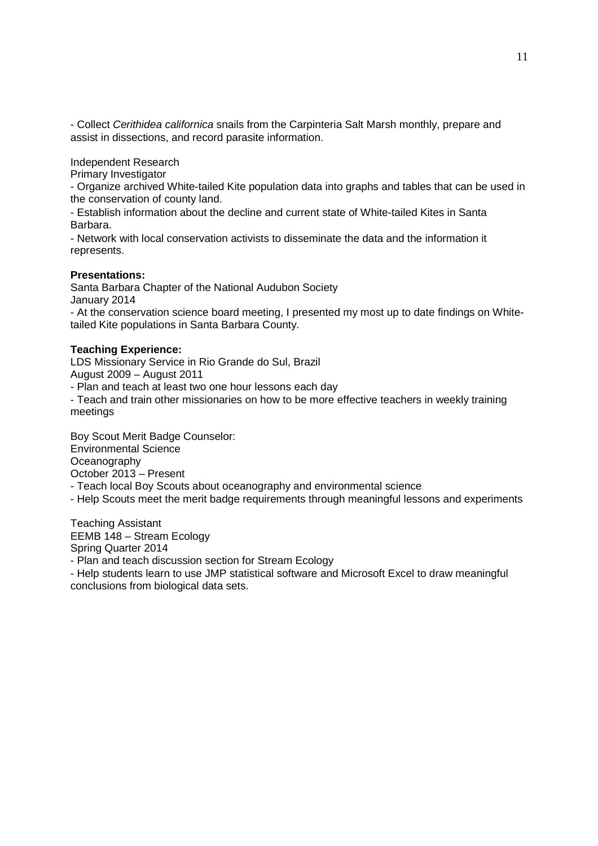- Collect Cerithidea californica snails from the Carpinteria Salt Marsh monthly, prepare and assist in dissections, and record parasite information.

Independent Research

Primary Investigator

- Organize archived White-tailed Kite population data into graphs and tables that can be used in the conservation of county land.

- Establish information about the decline and current state of White-tailed Kites in Santa Barbara.

- Network with local conservation activists to disseminate the data and the information it represents.

## **Presentations:**

Santa Barbara Chapter of the National Audubon Society January 2014

- At the conservation science board meeting, I presented my most up to date findings on Whitetailed Kite populations in Santa Barbara County.

### **Teaching Experience:**

LDS Missionary Service in Rio Grande do Sul, Brazil August 2009 – August 2011

- Plan and teach at least two one hour lessons each day

- Teach and train other missionaries on how to be more effective teachers in weekly training meetings

Boy Scout Merit Badge Counselor: Environmental Science **Oceanography** October 2013 – Present

- Teach local Boy Scouts about oceanography and environmental science

- Help Scouts meet the merit badge requirements through meaningful lessons and experiments

Teaching Assistant EEMB 148 – Stream Ecology Spring Quarter 2014

- Plan and teach discussion section for Stream Ecology

- Help students learn to use JMP statistical software and Microsoft Excel to draw meaningful conclusions from biological data sets.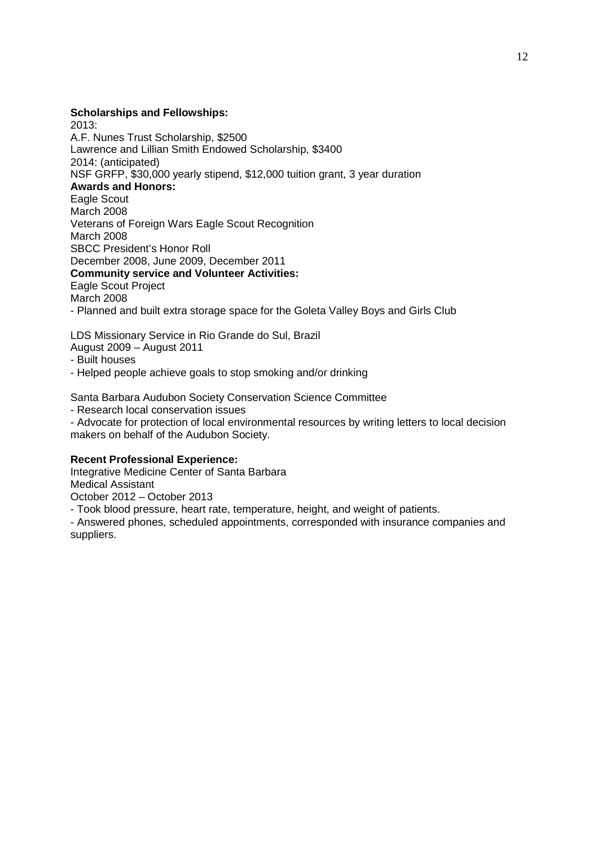### **Scholarships and Fellowships:**

2013: A.F. Nunes Trust Scholarship, \$2500 Lawrence and Lillian Smith Endowed Scholarship, \$3400 2014: (anticipated) NSF GRFP, \$30,000 yearly stipend, \$12,000 tuition grant, 3 year duration **Awards and Honors:**  Eagle Scout March 2008 Veterans of Foreign Wars Eagle Scout Recognition March 2008 SBCC President's Honor Roll December 2008, June 2009, December 2011 **Community service and Volunteer Activities:**  Eagle Scout Project March 2008 - Planned and built extra storage space for the Goleta Valley Boys and Girls Club

LDS Missionary Service in Rio Grande do Sul, Brazil August 2009 – August 2011

- 
- Built houses
- Helped people achieve goals to stop smoking and/or drinking

Santa Barbara Audubon Society Conservation Science Committee

- Research local conservation issues

- Advocate for protection of local environmental resources by writing letters to local decision makers on behalf of the Audubon Society.

### **Recent Professional Experience:**

Integrative Medicine Center of Santa Barbara Medical Assistant

October 2012 – October 2013

- Took blood pressure, heart rate, temperature, height, and weight of patients.

- Answered phones, scheduled appointments, corresponded with insurance companies and suppliers.